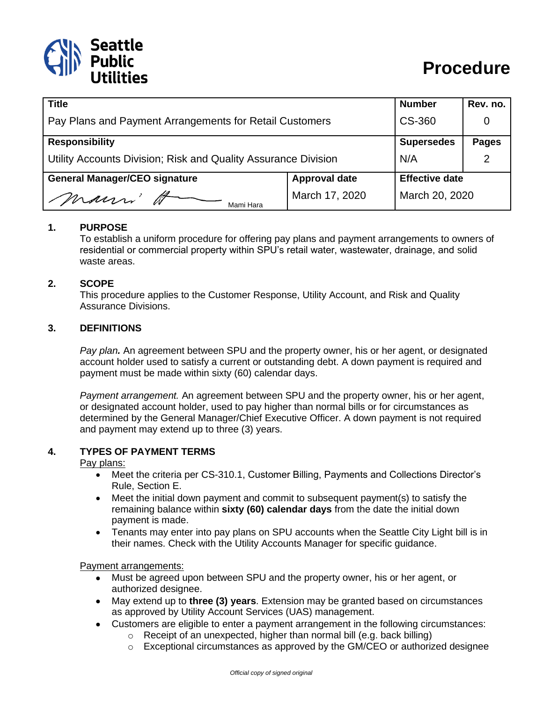

| <b>Title</b>                                                   |                      | <b>Number</b>         | Rev. no.     |
|----------------------------------------------------------------|----------------------|-----------------------|--------------|
| Pay Plans and Payment Arrangements for Retail Customers        |                      | CS-360                |              |
| <b>Responsibility</b>                                          |                      | <b>Supersedes</b>     | <b>Pages</b> |
| Utility Accounts Division; Risk and Quality Assurance Division |                      | N/A                   |              |
| <b>General Manager/CEO signature</b>                           | <b>Approval date</b> | <b>Effective date</b> |              |
| mann'<br>Mami Hara                                             | March 17, 2020       | March 20, 2020        |              |

## **1. PURPOSE**

To establish a uniform procedure for offering pay plans and payment arrangements to owners of residential or commercial property within SPU's retail water, wastewater, drainage, and solid waste areas.

## **2. SCOPE**

This procedure applies to the Customer Response, Utility Account, and Risk and Quality Assurance Divisions.

## **3. DEFINITIONS**

*Pay plan.* An agreement between SPU and the property owner, his or her agent, or designated account holder used to satisfy a current or outstanding debt. A down payment is required and payment must be made within sixty (60) calendar days.

*Payment arrangement.* An agreement between SPU and the property owner, his or her agent, or designated account holder, used to pay higher than normal bills or for circumstances as determined by the General Manager/Chief Executive Officer. A down payment is not required and payment may extend up to three (3) years.

#### **4. TYPES OF PAYMENT TERMS**

Pay plans:

- Meet the criteria per CS-310.1, Customer Billing, Payments and Collections Director's Rule, Section E.
- Meet the initial down payment and commit to subsequent payment(s) to satisfy the remaining balance within **sixty (60) calendar days** from the date the initial down payment is made.
- Tenants may enter into pay plans on SPU accounts when the Seattle City Light bill is in their names. Check with the Utility Accounts Manager for specific guidance.

Payment arrangements:

- Must be agreed upon between SPU and the property owner, his or her agent, or authorized designee.
- May extend up to **three (3) years**. Extension may be granted based on circumstances as approved by Utility Account Services (UAS) management.
- Customers are eligible to enter a payment arrangement in the following circumstances:
	- $\circ$  Receipt of an unexpected, higher than normal bill (e.g. back billing)
	- $\circ$  Exceptional circumstances as approved by the GM/CEO or authorized designee